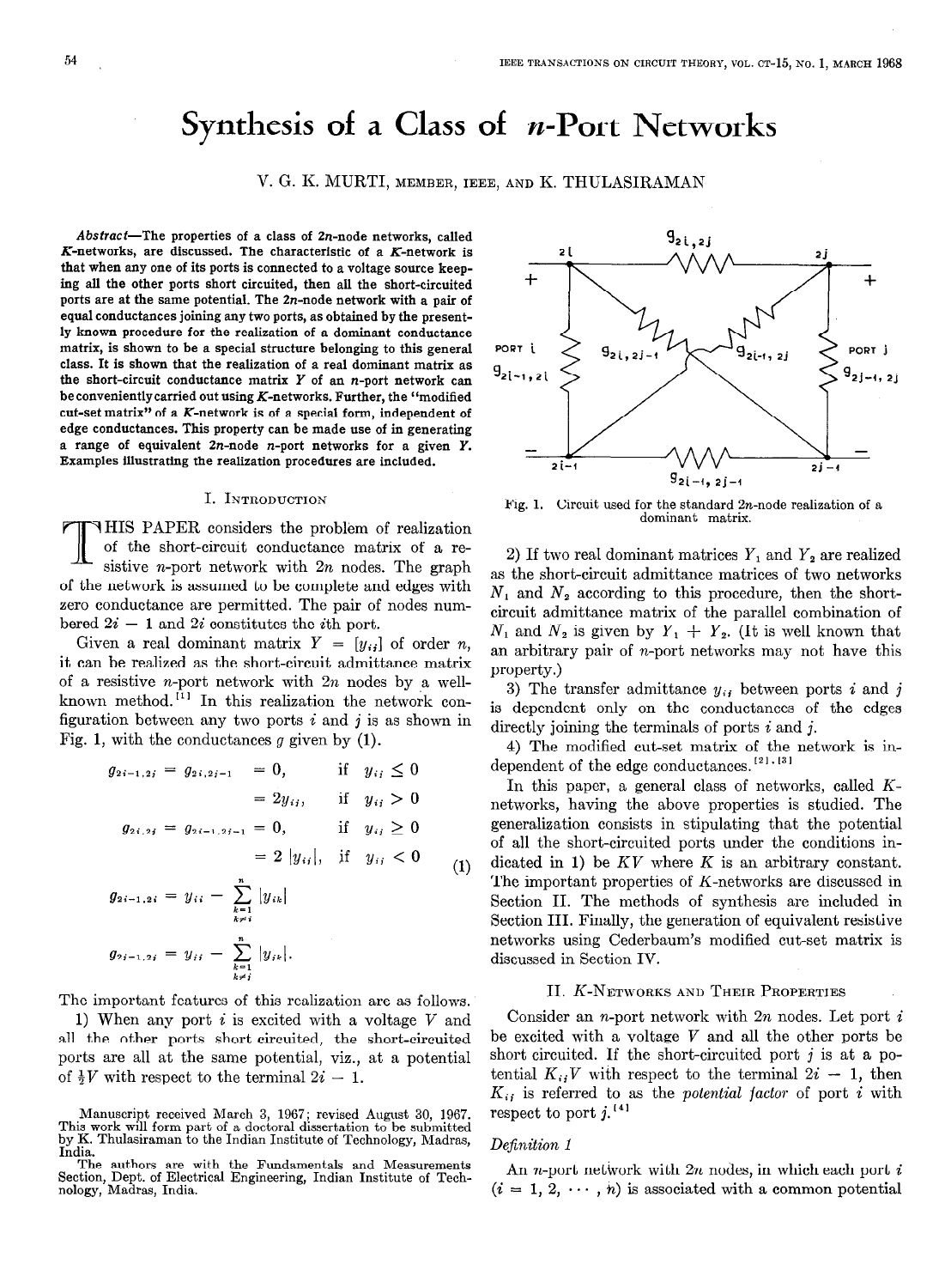# Synthesis of a Class of  $n$ -Port Networks

V. G. K. MURTI, MEMBER, IEEE, AND K. THULASIRAMAN

 $Abstract$ -The properties of a class of  $2n$ -node networks, called K-networks, are discussed. The characteristic of a K-network is that when any one of its ports is connected to a voltage source keeping all the other ports short circuited, then all the short-circuited ports are at the same potential. The Zn-node network with a pair of equal conductances joining any two ports, as obtained by the presently known procedure for the realization of a dominant conductance matrix, is shown to be a special structure belonging to this general class. It is shown that the realization of a real dominant matrix as the short-circuit conductance matrix  $Y$  of an n-port network can be conveniently carried out using  $K$ -networks. Further, the "modified cut-set matrix" of a K-network is of a special form, independent of edge conductances. This property can be made use of in generating a range of equivalent  $2n$ -node n-port networks for a given  $Y$ . Examples illustrating the realization procedures are included.

#### I. INTRODUCTION

THIS PAPER considers the problem of realization of the short-circuit conductance matrix of a resistive *n*-port network with  $2n$  nodes. The graph of the network is assumed to be complete and edges with zero conductance are permitted. The pair of nodes numbered  $2i - 1$  and  $2i$  constitutes the *i*<sup>th</sup> port.

Given a real dominant matrix  $Y = [y_{ij}]$  of order n, it can be realized as the short-circuit admittance matrix of a resistive *n*-port network with  $2n$  nodes by a wellknown method.<sup> $[1]$ </sup> In this realization the network configuration between any two ports  $i$  and  $j$  is as shown in Fig. 1, with the conductances  $g$  given by  $(1)$ .

$$
g_{2i-1,2i} = g_{2i,2i-1} = 0, \quad \text{if} \quad y_{ij} \le 0
$$
  
\n
$$
= 2y_{ij}, \quad \text{if} \quad y_{ij} > 0
$$
  
\n
$$
g_{2i,2i} = g_{2i-1,2i-1} = 0, \quad \text{if} \quad y_{ij} \ge 0
$$
  
\n
$$
= 2 |y_{ij}|, \quad \text{if} \quad y_{ij} < 0
$$
  
\n
$$
g_{2i-1,2i} = y_{ii} - \sum_{\substack{k=1 \ k \ne i}}^{n} |y_{ik}|
$$
  
\n
$$
g_{2i-1,2i} = y_{ii} - \sum_{k=1}^{n} |y_{ik}|.
$$
 (1)

The important features of this realization are as follows.

1) When any port  $i$  is excited with a voltage  $V$  and all the other ports short circuited, the short-circuited ports are all at the same potential, viz., at a potential of  $\frac{1}{2}V$  with respect to the terminal  $2i - 1$ .



Fig. 1. Circuit used for the standard  $2n$ -node realization of a dominant matrix.

2) If two real dominant matrices  $Y_1$  and  $Y_2$  are realized as the short-circuit admittance matrices of two networks  $N_1$  and  $N_2$  according to this procedure, then the shortcircuit admittance matrix of the parallel combination of  $N_1$  and  $N_2$  is given by  $Y_1 + Y_2$ . (It is well known that an arbitrary pair of n-port networks may not have this property.)

3) The transfer admittance  $y_{ij}$  between ports i and j is dependent only on the conductances of the edges directly joining the terminals of ports  $i$  and  $j$ .

4) The modified cut-set matrix of the network is independent of the edge conductances.  $^{\text{[21, [31]}}$ 

In this paper, a general class of networks, called Knetworks, having the above properties is studied. The generalization consists in stipulating that the potential of all the short-circuited ports under the conditions indicated in 1) be  $KV$  where K is an arbitrary constant. The important properties of K-networks are discussed in Section II. The methods of synthesis are included in Section III. Finally, the generation of equivalent resistive networks using Cederbaum's modified cut-set matrix is discussed in Section IV.

# II. K-NETWORKS AND THEIR PROPERTIES

Consider an *n*-port network with  $2n$  nodes. Let port  $i$ be excited with a voltage  $V$  and all the other ports be short circuited. If the short-circuited port  $j$  is at a potential  $K_{ij}V$  with respect to the terminal  $2i - 1$ , then  $K_{ij}$  is referred to as the *potential factor* of port i with respect to port  $j$ .<sup>[4]</sup>

#### Definition 1

An *n*-port network with  $2n$  nodes, in which each port i  $(i = 1, 2, \dots, n)$  is associated with a common potential

Manuscript received March 3, 1967; revised August 30, 1967.<br>This work will form part of a doctoral dissertation to be submitted<br>by K. Thulasiraman to the Indian Institute of Technology, Madras,

The authors are with the Fundamentals and Measurements Section, Dept. of Electrical Engineering, Indian Institute of Tech-nology, Madras, India.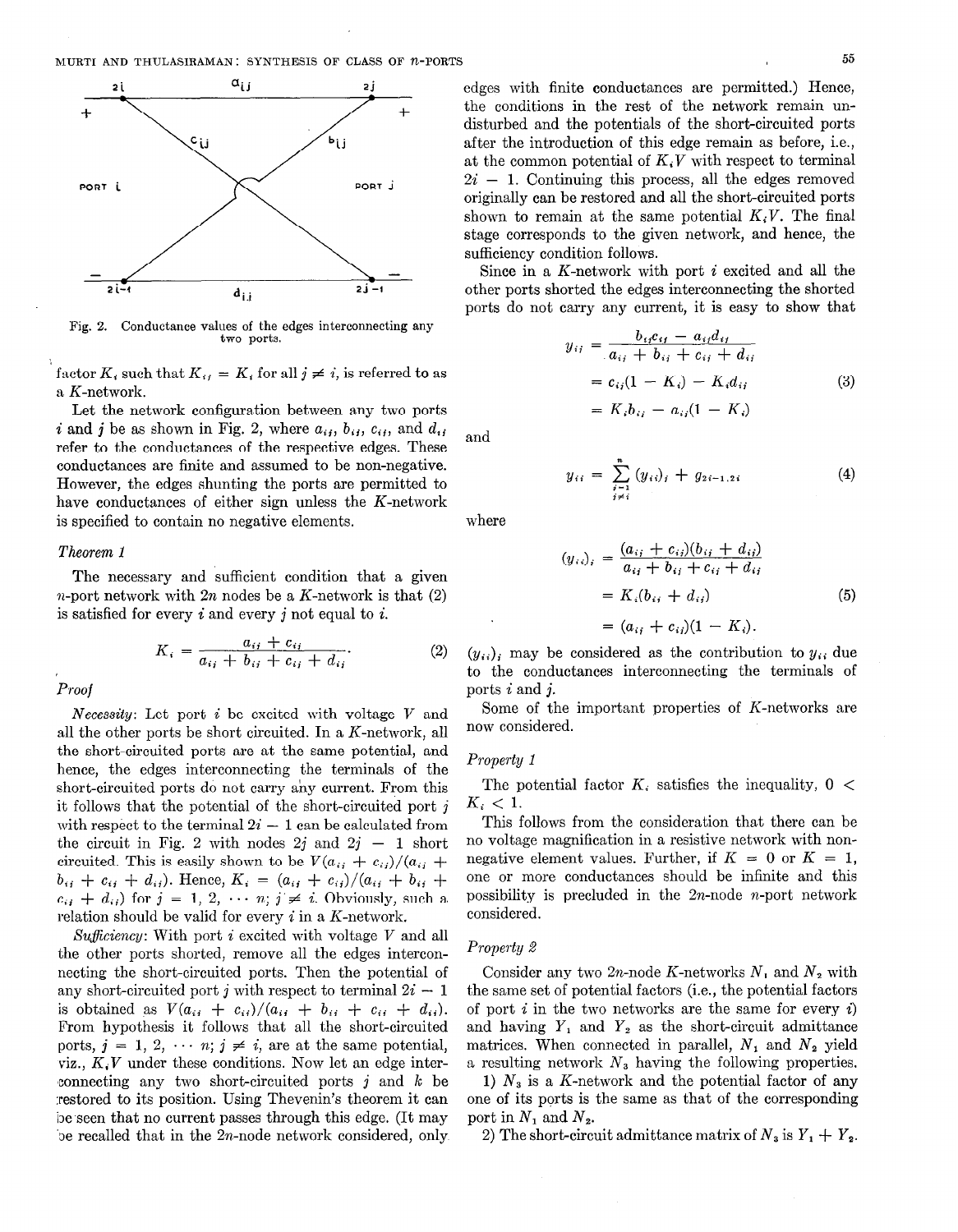

Fig. 2. Conductance values of the edges interconnecting any two ports.

factor  $K_i$ , such that  $K_{ii} = K_i$  for all  $j \neq i$ , is referred to as a K-network.

Let the network configuration between any two ports i and j be as shown in Fig. 2, where  $a_{ij}$ ,  $b_{ij}$ ,  $c_{ij}$ , and  $d_{ij}$ refer to the conductances of the respective edges. These conductances are finite and assumed to be non-negative. However, the edges shunting the ports are permitted to have conductances of either sign unless the K-network is specified to contain no negative elements.

#### Theorem 1

The necessary and sufficient condition that a given *n*-port network with  $2n$  nodes be a K-network is that  $(2)$ is satisfied for every  $i$  and every  $j$  not equal to  $i$ .

$$
K_i = \frac{a_{ij} + c_{ij}}{a_{ij} + b_{ij} + c_{ij} + d_{ij}}.
$$
 (2)

Proof

*Necessity*: Let port  $i$  be excited with voltage  $V$  and all the other ports be short circuited. In a K-network, all the short-circuited ports are at the same potential, and hence, the edges interconnecting the terminals of the short-circuited ports do not carry any current. From this it follows that the potential of the short-circuited port j with respect to the terminal  $2i - 1$  can be calculated from the circuit in Fig. 2 with nodes  $2j$  and  $2j - 1$  short circuited. This is easily shown to be  $V(a_{ij} + c_{ij})/(a_{ij} +$  $b_{ij} + c_{ij} + d_{ij}$ ). Hence,  $K_i = (a_{ij} + c_{ij})/(a_{ij} + b_{ij} + d_{ij})$  $c_{ij} + d_{ij}$  for  $j = 1, 2, \cdots n; j \neq i$ . Obviously, such a relation should be valid for every  $i$  in a K-network.

Sufficiency: With port i excited with voltage V and all the other ports shorted, remove all the edges interconnecting the short-circuited ports. Then the potential of any short-circuited port *i* with respect to terminal  $2i - 1$ is obtained as  $V(a_{ii} + c_{ii})/(a_{ii} + b_{ii} + c_{ii} + d_{ii}).$ From hypothesis it follows that all the short-circuited ports,  $j = 1, 2, \cdots n$ ;  $j \neq i$ , are at the same potential, viz.,  $K_iV$  under these conditions. Now let an edge inter-'connecting any two short-circuited ports j and k be :restored to its position. Using Thevenin's theorem it can be seen that no current passes through this edge. (It may be recalled that in the 2n-node network considered, only. edges with finite conductances are permitted.) Hence, the conditions in the rest of the network remain undisturbed and the potentials of the short-circuited ports after the introduction of this edge remain as before, i.e., at the common potential of  $K, V$  with respect to terminal  $2i - 1$ . Continuing this process, all the edges removed originally can be restored and all the short-circuited ports shown to remain at the same potential  $K_iV$ . The final stage corresponds to the given network, and hence, the sufficiency condition follows.

Since in a K-network with port  $i$  excited and all the other ports shorted the edges interconnecting the shorted ports do not carry any current, it is easy to show that

$$
y_{ij} = \frac{b_{ij}c_{ij} - a_{ij}d_{ij}}{a_{ij} + b_{ij} + c_{ij} + d_{ij}}
$$
  
=  $c_{ij}(1 - K_i) - K_id_{ij}$  (3)  
=  $K_ib_{ij} - a_{ij}(1 - K_i)$ 

and

$$
y_{ii} = \sum_{\substack{j=1 \ j \neq i}}^{n} (y_{ii})_j + g_{2i-1,2i} \tag{4}
$$

where

$$
(y_{i,j})_i = \frac{(a_{ij} + c_{ij})(b_{ij} + d_{ij})}{a_{ij} + b_{ij} + c_{ij} + d_{ij}}
$$
  
=  $K_i(b_{ij} + d_{ij})$  (5)  
=  $(a_{ij} + c_{ij})(1 - K_i)$ .

 $(y_{ii})$  may be considered as the contribution to  $y_{ii}$  due to the conductances interconnecting the terminals of ports i and j.

Some of the important properties of K-networks are now considered.

# Property 1

The potential factor  $K_i$  satisfies the inequality,  $0 <$  $K_i < 1$ .

This follows from the consideration that there can be no voltage magnification in a resistive network with nonnegative element values. Further, if  $K = 0$  or  $K = 1$ . one or more conductances should be infinite and this possibility is precluded in the  $2n$ -node *n*-port network considered.

#### Property 2

Consider any two 2n-node K-networks  $N_1$  and  $N_2$  with the same set of potential factors (i.e., the potential factors of port  $i$  in the two networks are the same for every  $i$ ) and having  $Y_1$  and  $Y_2$  as the short-circuit admittance matrices. When connected in parallel,  $N_1$  and  $N_2$  yield a resulting network  $N_3$  having the following properties.

1)  $N_3$  is a K-network and the potential factor of any one of its ports is the same as that of the corresponding port in  $N_1$  and  $N_2$ .

2) The short-circuit admittance matrix of  $N_3$  is  $Y_1 + Y_2$ .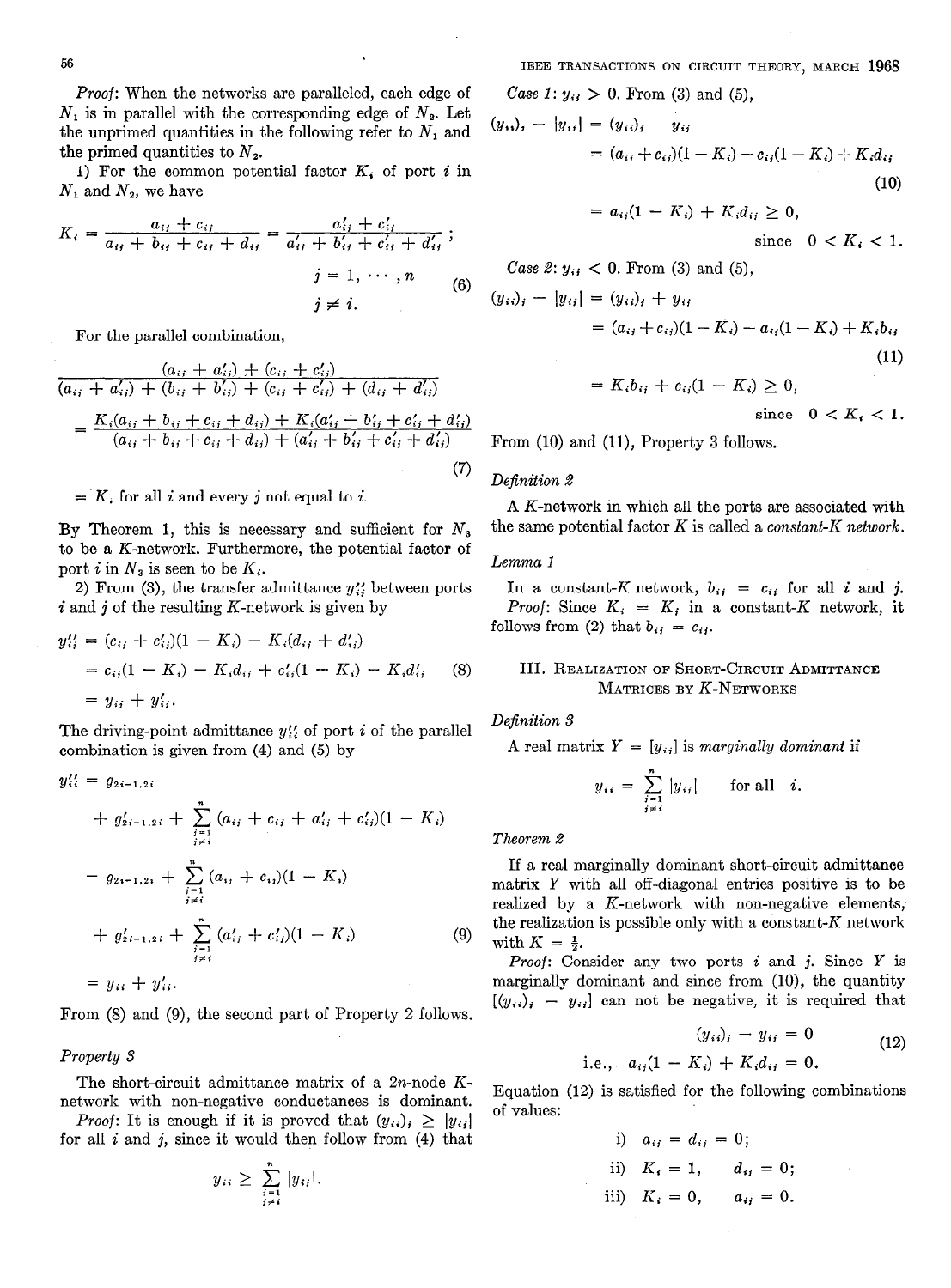Proof: When the networks are paralleled, each edge of  $N_1$  is in parallel with the corresponding edge of  $N_2$ . Let the unprimed quantities in the following refer to  $N_1$  and the primed quantities to  $N<sub>2</sub>$ .

1) For the common potential factor  $K_i$  of port i in  $N_1$  and  $N_2$ , we have

$$
K_{i} = \frac{a_{ij} + c_{ij}}{a_{ij} + b_{ij} + c_{ij} + d_{ij}} = \frac{a'_{ij} + c'_{ij}}{a'_{ij} + b'_{ij} + c'_{ij} + d'_{ij}}; \nj = 1, \cdots, n
$$
\n(6)   
\nj \neq i.

For the parallel combination,

$$
\frac{(a_{ij} + a'_{ij}) + (c_{ij} + c'_{ij})}{(a_{ij} + a'_{ij}) + (b_{ij} + b'_{ij}) + (c_{ij} + c'_{ij}) + (d_{ij} + d'_{ij})}
$$
\n
$$
= \frac{K_i(a_{ij} + b_{ij} + c_{ij} + d_{ij}) + K_i(a'_{ij} + b'_{ij} + c'_{ij} + d'_{ij})}{(a_{ij} + b_{ij} + c_{ij} + d_{ij}) + (a'_{ij} + b'_{ij} + c'_{ij} + d'_{ij})}
$$
\n(7)

 $= K$ , for all i and every i not equal to i.

By Theorem 1, this is necessary and sufficient for  $N_3$ to be a K-network. Furthermore, the potential factor of port i in  $N_3$  is seen to be  $K_i$ .

2) From (3), the transfer admittance  $y''$  between ports  $i$  and  $j$  of the resulting K-network is given by

$$
y_{ij}'' = (c_{ij} + c_{ij}')(1 - K_i) - K_i(d_{ij} + d_{ij})
$$
  
=  $c_{ij}(1 - K_i) - K_i d_{ij} + c_{ij}'(1 - K_i) - K_i d_{ij}'$  (8)  
=  $y_{ij} + y_{ij}'$ .

The driving-point admittance  $y''_{ii}$  of port i of the parallel combination is given from (4) and (5) by

$$
y_{ii}' = g_{2i-1,2i}
$$
  
+  $g'_{2i-1,2i}$  +  $\sum_{\substack{i=1 \ i \neq i}}^{n} (a_{ij} + c_{ij} + a'_{ij} + c'_{ij})(1 - K_i)$   
=  $g_{2i-1,2i}$  +  $\sum_{\substack{i=1 \ i \neq i}}^{n} (a_{ij} + c_{ij})(1 - K_i)$   
+  $g'_{2i-1,2i}$  +  $\sum_{\substack{i=1 \ i \neq i}}^{n} (a'_{ij} + c'_{ij})(1 - K_i)$  (9)  
=  $y_{ii}$  +  $y'_{ii}$ .

From (8) and (9), the second part of Property 2 follows.

# Property 3

The short-circuit admittance matrix of a 2n-node Knetwork with non-negative conductances is dominant.

*Proof:* It is enough if it is proved that  $(y_{ii})_i \ge |y_{ii}|$ for all  $i$  and  $j$ , since it would then follow from  $(4)$  that

$$
y_{ii} \geq \sum_{\substack{j=1 \ j \neq i}}^n |y_{ij}|.
$$

IEEE TRANSACTIONS ON CIRCUIT THEORY, MARCH 1968

*Case 1:*  $y_{ii} > 0$ . From (3) and (5),

$$
(y_{ii})_i - |y_{ii}| = (y_{ii})_i - y_{ii}
$$
  
=  $(a_{ij} + c_{ij})(1 - K_i) - c_{ij}(1 - K_i) + K_i d_{ii}$   
=  $a_{ij}(1 - K_i) + K_i d_{ij} \ge 0$ , (10)

since  $0 < K_i < 1$ .

Case 2: 
$$
y_{ij} < 0
$$
. From (3) and (5),  
\n
$$
(y_{ij})_i - |y_{ij}| = (y_{ij})_i + y_{ij}
$$
\n
$$
= (a_{ij} + c_{ij})(1 - K_i) - a_{ij}(1 - K_i) + K_i b_{ij}
$$
\n(11)

$$
= K_i b_{ij} + c_{ij}(1 - K_i) \geq 0,
$$

since  $0 < K_i < 1$ .

From  $(10)$  and  $(11)$ , Property 3 follows.

#### Definition 2

A K-network in which all the ports are associated with the same potential factor  $K$  is called a *constant-K network*.

#### Lemma 1

In a constant-K network,  $b_{ij} = c_{ij}$  for all i and j. Proof: Since  $K_i = K_j$  in a constant-K network, it follows from (2) that  $b_{ij} = c_{ij}$ .

# III. REALIZATION OF SHORT-CIRCUIT ADMITTANCE  $M$ ATRICES BY  $K$ -Networks

# Definition 3

A real matrix  $Y = [y_{ij}]$  is marginally dominant if

$$
y_{ii} = \sum_{\substack{i=1 \ i \neq i}}^n |y_{ij}| \quad \text{for all} \quad i.
$$

Theorem 2

If a real marginally dominant short-circuit admittance matrix Y with all off-diagonal entries positive is to be realized by a K-network with non-negative elements, the realization is possible only with a constant-K network with  $K = \frac{1}{2}$ .

**Proof:** Consider any two ports  $i$  and  $j$ . Since  $Y$  is marginally dominant and since from  $(10)$ , the quantity  $[(y_{ii})_i - y_{ii}]$  can not be negative, it is required that

$$
(y_{ii})_i - y_{ii} = 0
$$
  
i.e.,  $a_{ij}(1 - K_i) + K_i d_{ij} = 0$ . (12)

Equation (12) is satisfied for the following combinations of values:

> i)  $a_{ij} = d_{ij} = 0;$ ii)  $K_i = 1$ ,  $d_{ij} = 0$ ; iii)  $K_i = 0$ ,  $a_{ij} = 0$ .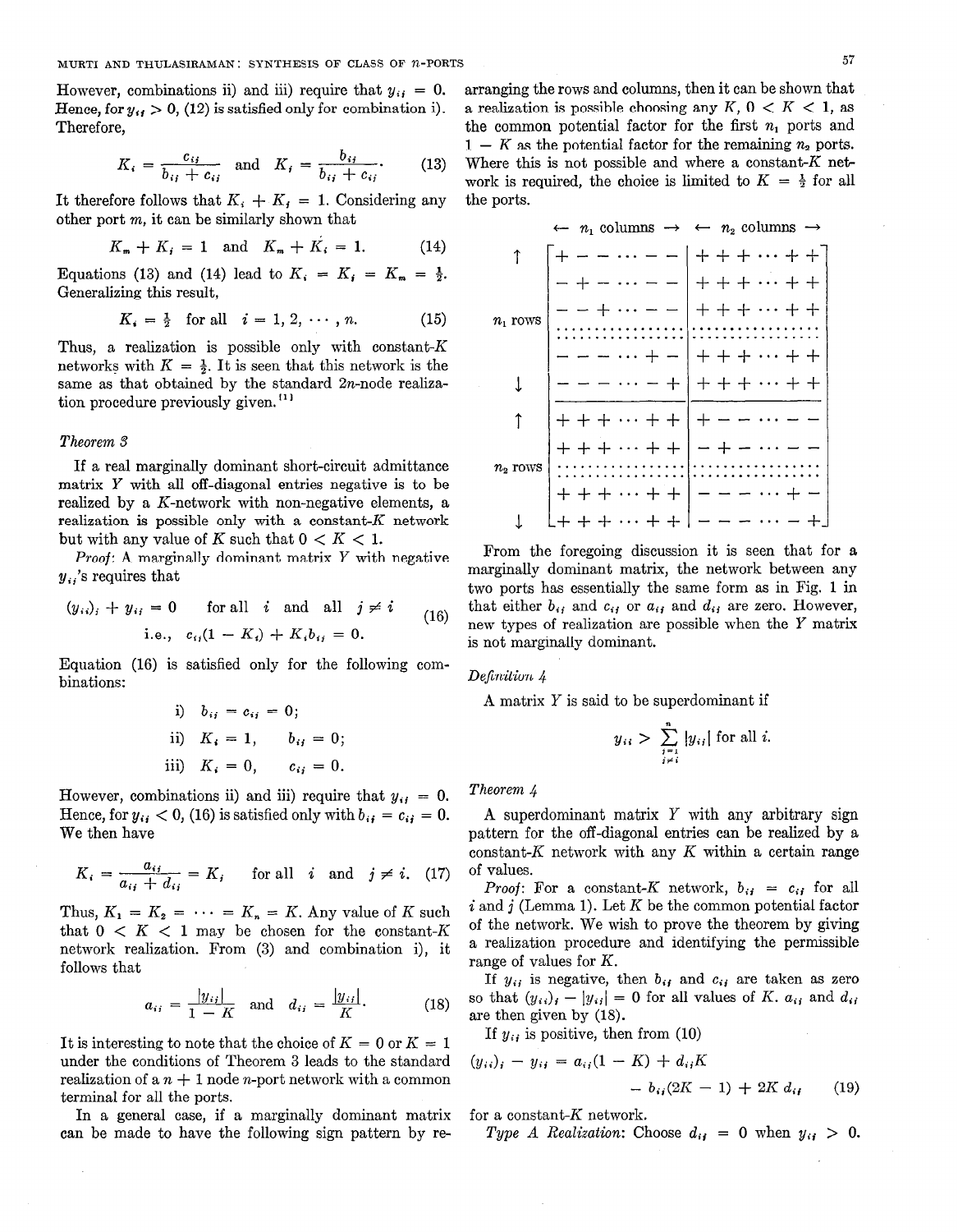However, combinations ii) and iii) require that  $y_{ij} = 0$ . Hence, for  $y_{ij} > 0$ , (12) is satisfied only for combination i). Therefore,

$$
K_i = \frac{c_{ij}}{b_{ij} + c_{ij}} \quad \text{and} \quad K_j = \frac{b_{ij}}{b_{ij} + c_{ij}}.
$$
 (13)

It therefore follows that  $K_i + K_j = 1$ . Considering any other port m, it can be similarly shown that

$$
K_m + K_i = 1 \text{ and } K_m + K_i = 1. \tag{14}
$$

Equations (13) and (14) lead to  $K_i = K_i = K_m = \frac{1}{2}$ . Generalizing this result,

$$
K_i = \frac{1}{2} \text{ for all } i = 1, 2, \cdots, n. \tag{15}
$$

Thus, a realization is possible only with constant- $K$ networks with  $K = \frac{1}{2}$ . It is seen that this network is the same as that obtained by the standard 2n-node realization procedure previously given.  $[1]$ 

#### Theorem 3

If a real marginally dominant short-circuit admittance matrix Y with all off-diagonal entries negative is to be realized by a K-network with non-negative elements, a realization is possible only with a constant-K network but with any value of K such that  $0 < K < 1$ .

*Proof:* A marginally dominant matrix  $Y$  with negative  $y_{ij}$ 's requires that

$$
(y_{ii})_i + y_{ii} = 0
$$
 for all *i* and all  $j \neq i$   
i.e.,  $c_{ii}(1 - K_i) + K_i b_{ii} = 0$ . (16)

Equation (16) is satisfied only for the following combinations:

i) 
$$
b_{ij} = c_{ij} = 0;
$$
  
\nii)  $K_i = 1$ ,  $b_{ij} = 0;$   
\niii)  $K_i = 0$ ,  $c_{ij} = 0$ .

However, combinations ii) and iii) require that  $y_{ij} = 0$ . Hence, for  $y_{ij} < 0$ , (16) is satisfied only with  $b_{ij} = c_{ij} = 0$ . We then have

$$
K_i = \frac{a_{ij}}{a_{ij} + d_{ij}} = K_j \quad \text{for all} \quad i \quad \text{and} \quad j \neq i. \tag{17}
$$

Thus,  $K_1 = K_2 = \cdots = K_n = K$ . Any value of K such that  $0 \lt K \lt 1$  may be chosen for the constant-K network realization. From (3) and combination i), it follows that

$$
a_{ij} = \frac{|y_{ij}|}{1 - K} \text{ and } d_{ij} = \frac{|y_{ij}|}{K}.
$$
 (18)

It is interesting to note that the choice of  $K = 0$  or  $K = 1$ under the conditions of Theorem 3 leads to the standard realization of a  $n + 1$  node *n*-port network with a common terminal for all the ports.

In a general case, if a marginally dominant matrix can be made to have the following sign pattern by rearranging the rows and columns, then it can be shown that a realization is possible choosing any K,  $0 \lt K \lt 1$ , as the common potential factor for the first  $n_1$  ports and  $1 - K$  as the potential factor for the remaining  $n<sub>2</sub>$  ports. Where this is not possible and where a constant- $K$  network is required, the choice is limited to  $K = \frac{1}{2}$  for all the ports.

$$
\uparrow
$$
\n
$$
\uparrow
$$
\n
$$
\uparrow
$$
\n
$$
\uparrow
$$
\n
$$
\uparrow
$$
\n
$$
\downarrow
$$
\n
$$
\uparrow
$$
\n
$$
\downarrow
$$
\n
$$
\downarrow
$$
\n
$$
\uparrow
$$
\n
$$
\downarrow
$$
\n
$$
\downarrow
$$
\n
$$
\uparrow
$$
\n
$$
\downarrow
$$
\n
$$
\downarrow
$$
\n
$$
\downarrow
$$
\n
$$
\downarrow
$$
\n
$$
\downarrow
$$
\n
$$
\downarrow
$$
\n
$$
\downarrow
$$
\n
$$
\downarrow
$$
\n
$$
\downarrow
$$
\n
$$
\downarrow
$$
\n
$$
\downarrow
$$
\n
$$
\downarrow
$$
\n
$$
\downarrow
$$
\n
$$
\downarrow
$$
\n
$$
\downarrow
$$
\n
$$
\downarrow
$$
\n
$$
\downarrow
$$
\n
$$
\downarrow
$$
\n
$$
\downarrow
$$
\n
$$
\downarrow
$$
\n
$$
\downarrow
$$
\n
$$
\downarrow
$$
\n
$$
\downarrow
$$
\n
$$
\downarrow
$$
\n
$$
\downarrow
$$
\n
$$
\downarrow
$$
\n
$$
\downarrow
$$
\n
$$
\downarrow
$$
\n
$$
\downarrow
$$
\n
$$
\downarrow
$$
\n
$$
\downarrow
$$
\n
$$
\downarrow
$$
\n
$$
\downarrow
$$
\n
$$
\downarrow
$$
\n
$$
\downarrow
$$
\n
$$
\downarrow
$$
\n
$$
\downarrow
$$
\n
$$
\downarrow
$$
\n
$$
\downarrow
$$
\n
$$
\downarrow
$$
\n
$$
\downarrow
$$
\n
$$
\downarrow
$$
\n
$$
\downarrow
$$
\n
$$
\downarrow
$$
\n
$$
\downarrow
$$
\n
$$
\downarrow
$$
\n
$$
\downarrow
$$
\n
$$
\downarrow
$$
\n
$$
\downarrow
$$
\n
$$
\downarrow
$$
\n
$$
\downarrow
$$

From the foregoing discussion it is seen that for a marginally dominant matrix, the network between any two ports has essentially the same form as in Fig. 1 in that either  $b_{ij}$  and  $c_{ij}$  or  $a_{ij}$  and  $d_{ij}$  are zero. However, new types of realization are possible when the Y matrix is not marginally dominant.

Definition 4

A matrix Y is said to be superdominant if

$$
y_{ii} > \sum_{\substack{i=1 \ i \neq i}}^{n} |y_{ij}|
$$
 for all *i*.

#### Theorem 4

A superdominant matrix Y with any arbitrary sign pattern for the off-diagonal entries can be realized by a constant- $K$  network with any  $K$  within a certain range of values.

*Proof:* For a constant-K network,  $b_{ij} = c_{ij}$  for all  $i$  and  $j$  (Lemma 1). Let K be the common potential factor of the network. We wish to prove the theorem by giving a realization procedure and identifying the permissible range of values for  $K$ .

If  $y_{ij}$  is negative, then  $b_{ij}$  and  $c_{ij}$  are taken as zero so that  $(y_{ii})_i - |y_{ii}| = 0$  for all values of K.  $a_{ii}$  and  $d_{ii}$ are then given by (18).

If  $y_{ij}$  is positive, then from (10)

$$
(y_{ii})_i - y_{ii} = a_{ii}(1 - K) + d_{ii}K
$$

$$
= b_{ij}(2K - 1) + 2K d_{ij} \qquad (19)
$$

for a constant- $K$  network.

Type A Realization: Choose  $d_{ij} = 0$  when  $y_{ij} > 0$ .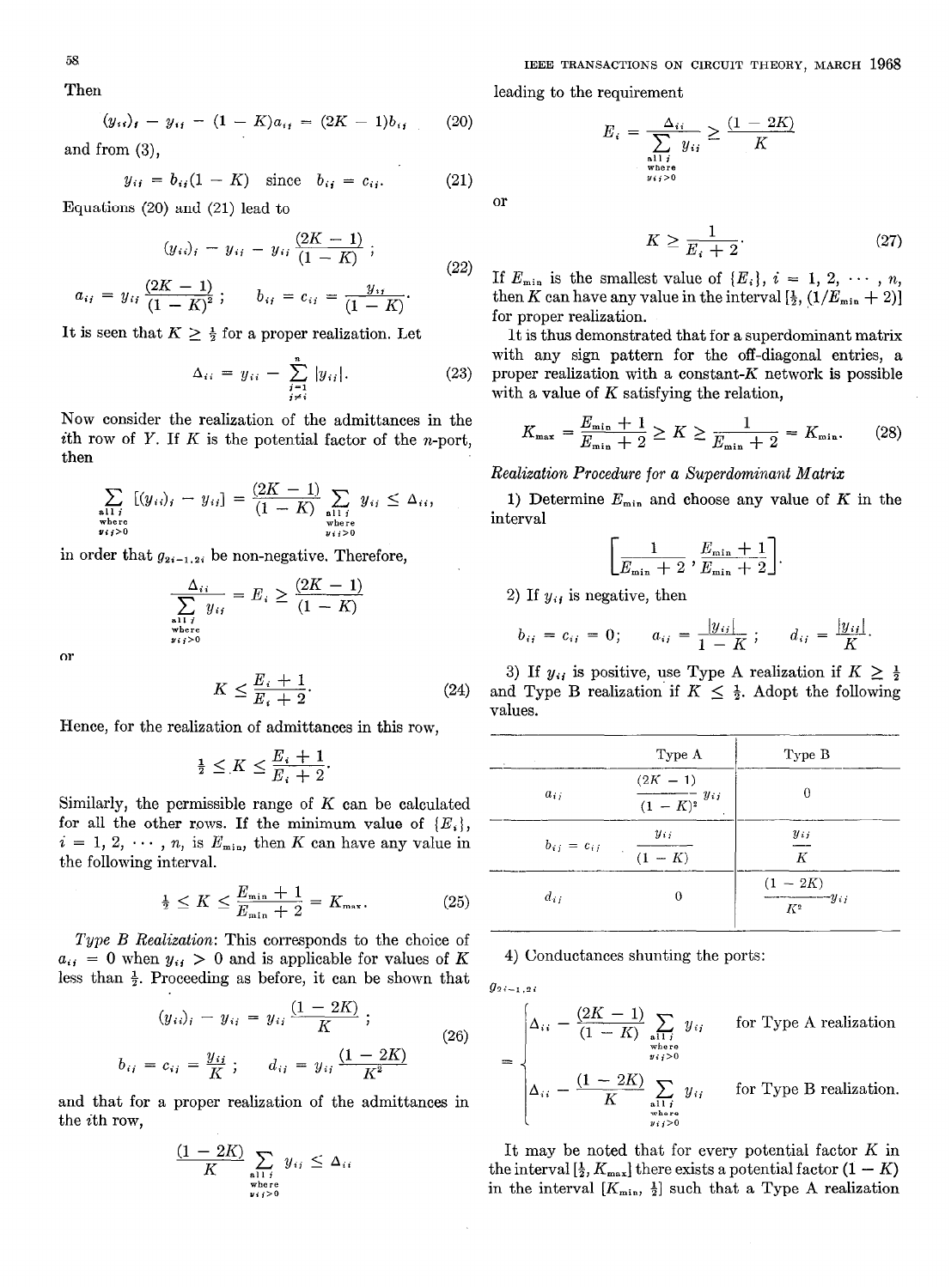$$
(y_{ii})_i - y_{ii} = (1 - K)a_{ii} = (2K - 1)b_{ii}
$$
 (20  
and from (3),

$$
y_{ij} = b_{ij}(1 - K)
$$
 since  $b_{ij} = c_{ij}$ . (21)

Equations (20) and (21) lead to

$$
(y_{ii})_i - y_{ii} = y_{ii} \frac{(2K - 1)}{(1 - K)}; a_{ii} = y_{ii} \frac{(2K - 1)}{(1 - K)^2}; \qquad b_{ii} = c_{ii} = \frac{y_{ii}}{(1 - K)}.
$$
 (22)

It is seen that  $K \geq \frac{1}{2}$  for a proper realization. Let

$$
\Delta_{ii} = y_{ii} - \sum_{\substack{j=1 \ j \neq i}}^{n} |y_{ij}|.
$$
 (23)

Now consider the realization of the admittances in the ith row of  $Y$ . If  $K$  is the potential factor of the *n*-port, then

$$
\sum_{\substack{i_1 \text{ there} \\ \text{there} \\ i_j > 0}} [(y_{ii})_i - y_{ii}] = \frac{(2K - 1)}{(1 - K)} \sum_{\substack{\text{all } i \\ \text{where} \\ y_{ij} > 0}} y_{ii} \leq \Delta_{ii},
$$

in order that  $g_{2i-1,2i}$  be non-negative. Therefore,

$$
\frac{\Delta_{ii}}{\sum_{\substack{\text{all } i \text{ where} \\ \text{where}}} y_{ij}} = E_i \ge \frac{(2K - 1)}{(1 - K)}
$$

or

$$
K \le \frac{E_i + 1}{E_i + 2}.\tag{24}
$$

Hence, for the realization of admittances in this row,

$$
\tfrac{1}{2} \leq K \leq \frac{E_i+1}{E_i+2}
$$

Similarly, the permissible range of  $K$  can be calculated for all the other rows. If the minimum value of  ${E_i}$ ,  $i = 1, 2, \dots, n$ , is  $E_{\min}$ , then K can have any value in  $b_{ij} = c_{ij}$  yii  $\frac{y_{ij}}{y_{ij}}$ the following interval.

$$
\frac{1}{2} \le K \le \frac{E_{\min} + 1}{E_{\min} + 2} = K_{\max}.
$$
 (25)

Type B Realization: This corresponds to the choice of  $a_{ij} = 0$  when  $y_{ij} > 0$  and is applicable for values of  $K$  4) Conductances shunting the ports: less than  $\frac{1}{2}$ . Proceeding as before, it can be shown that  $g_{2i-1,2i}$ 

$$
(y_{ii})_i - y_{ii} = y_{ii} \frac{(1 - 2K)}{K};
$$
  
\n
$$
b_{ij} = c_{ij} = \frac{y_{ij}}{K};
$$
  
\n
$$
d_{ij} = y_{ij} \frac{(1 - 2K)}{K^2}
$$
  
\n
$$
(26)
$$
  
\n
$$
= \begin{cases} \Delta_{ii} - \frac{(2K - 1)}{(1 - K)} \sum_{\substack{\text{all } i \\ \text{where} \\ \text{with } 2K}} \\ (1 - 2K) \sum_{\substack{\text{when } k \\ \text{with } k \neq 0}} \\ (1 - 2K) \sum_{\substack{\text{all } k \neq 0 \\ \text{with } k \neq 0}} \\ (1 - 2K) \sum_{\substack{\text{all } k \neq 0 \\ \text{with } k \neq 0}} \\ (1 - 2K) \sum_{\substack{\text{all } k \neq 0 \\ \text{with } k \neq 0}} \\ (1 - 2K) \sum_{\substack{\text{all } k \neq 0 \\ \text{with } k \neq 0}} \\ (1 - 2K) \sum_{\substack{\text{all } k \neq 0 \\ \text{with } k \neq 0}} \\ (1 - 2K) \sum_{\substack{\text{all } k \neq 0 \\ \text{with } k \neq 0}} \\ (1 - 2K) \sum_{\substack{\text{all } k \neq 0 \\ \text{with } k \neq 0}} \\ (1 - 2K) \sum_{\substack{\text{all } k \neq 0 \\ \text{with } k \neq 0}} \\ (1 - 2K) \sum_{\substack{\text{all } k \neq 0 \\ \text{with } k \neq 0}} \\ (1 - 2K) \sum_{\substack{\text{all } k \neq 0 \\ \text{with } k \neq 0}} \\ (1 - 2K) \sum_{\substack{\text{all } k \neq 0 \\ \text{with } k \neq 0}} \\ (1 - 2K) \sum_{\substack{\text{all } k \neq 0 \\ \text{with } k \neq 0}} \\ (1 - 2K) \sum_{\substack{\text{all } k \neq 0 \\ \text{with } k \neq 0}} \\ (1 - 2K) \sum_{\substack{\text{all } k \neq 0 \\ \text{with } k \neq 0}} \\ (1 - 2K) \sum_{\substack{\text{all } k
$$

and that for a proper realization of the admittances in the ith row,

$$
\frac{(1-2K)}{K}\sum_{\substack{\text{all }i\\ \text{where}\\ \text{with }i\geq 0}} y_{ij} \leq \Delta_{ii}
$$

Then leading to the requirement

or

(20) 
$$
E_i = \frac{\Delta_{ii}}{\sum_{\substack{\text{all } i \\ \text{where} \\ y_{ij} > 0}} y_{ij}} \ge \frac{(1 - 2K)}{K}
$$

$$
K \ge \frac{1}{E_i + 2}.\tag{27}
$$

If  $E_{\min}$  is the smallest value of  $\{E_i\}, i = 1, 2, \cdots, n$ , then K can have any value in the interval  $[\frac{1}{2}, (1/E_{\min} + 2)]$ for proper realization.

It is thus demonstrated that for a superdominant matrix with any sign pattern for the off-diagonal entries, a (3) proper realization with a constant- $K$  network is possible with a value of K satisfying the relation,

$$
K_{\max} = \frac{E_{\min} + 1}{E_{\min} + 2} \ge K \ge \frac{1}{E_{\min} + 2} = K_{\min}.
$$
 (28)

# Realization Procedure for a Superdominant Matrix

1) Determine  $E_{\min}$  and choose any value of K in the interval

$$
\left[\frac{1}{E_{\min}+2},\frac{E_{\min}+1}{E_{\min}+2}\right].
$$

2) If  $y_{ij}$  is negative, then

$$
b_{ij} = c_{ij} = 0;
$$
  $a_{ij} = \frac{|y_{ij}|}{1 - K};$   $d_{ij} = \frac{|y_{ij}|}{K}.$ 

3) If  $y_{ij}$  is positive, use Type A realization if  $K \geq \frac{1}{2}$ and Type B realization if  $K \leq \frac{1}{2}$ . Adopt the following values.

| $\leq \frac{E_i+1}{E_i+2}.$                                        |      |                   | Type B                                   |                            |
|--------------------------------------------------------------------|------|-------------------|------------------------------------------|----------------------------|
| range of $K$ can be calculated                                     |      | $a_{ij}$          | $(2K - 1)$<br>$\frac{1}{(1-K)^2} y_{ij}$ | 0                          |
| the minimum value of $\{E_i\},\$<br>then $K$ can have any value in |      | $b_{ij} = c_{ij}$ | $y_{ij}$<br>$\frac{1}{(1-K)}$            | $y_{ii}$<br>$\overline{K}$ |
| $\frac{\min + 1}{\min + 2} = K_{\max}.$                            | (25) | $d_{ij}$          |                                          | $\frac{(1-2K)}{K^2}y_{ij}$ |

(26) 
$$
\begin{cases} \Delta_{ii} - \frac{(2K-1)}{(1-K)} \sum_{\substack{\text{all } i \\ \text{where } \\ y_{ij} > 0}} y_{ij} & \text{for Type A realization} \\ \vdots & \vdots \\ \Delta_{ii} - \frac{(1-2K)}{K} \sum_{\substack{\text{all } i \\ \text{where } \\ y_{ij} > 0}} y_{ij} & \text{for Type B realization} \end{cases}
$$

It may be noted that for every potential factor  $K$  in the interval  $[\frac{1}{2}, K_{\text{max}}]$  there exists a potential factor  $(1 - K)$ in the interval  $[K_{\min}, \frac{1}{2}]$  such that a Type A realization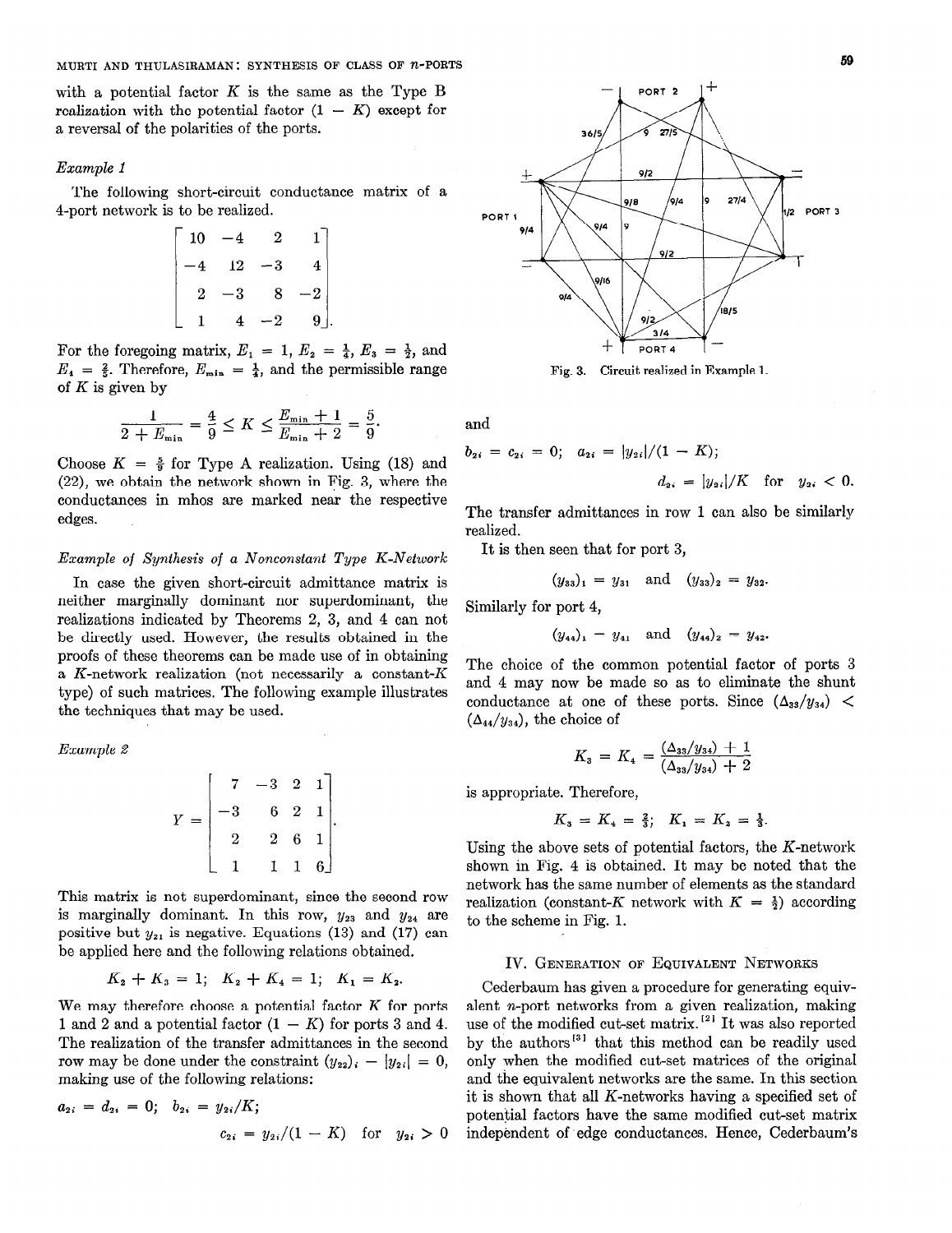with a potential factor  $K$  is the same as the Type B realization with the potential factor  $(1 - K)$  except for a reversal of the polarities of the ports.

#### Example 1

The following short-circuit conductance matrix of a 4-port network is to be realized.

$$
\begin{bmatrix} 10 & -4 & 2 & 1 \ -4 & 12 & -3 & 4 \ 2 & -3 & 8 & -2 \ 1 & 4 & -2 & 9 \end{bmatrix}
$$

For the foregoing matrix,  $E_1 = 1$ ,  $E_2 = \frac{1}{4}$ ,  $E_3 = \frac{1}{2}$ , and  $E_4 = \frac{2}{5}$ . Therefore,  $E_{\min} = \frac{1}{4}$ , and the permissible range of  $K$  is given by

$$
\frac{1}{2 + E_{\min}} = \frac{4}{9} \le K \le \frac{E_{\min} + 1}{E_{\min} + 2} = \frac{5}{9}.
$$
 and

Choose  $K = \frac{5}{9}$  for Type A realization. Using (18) and (22), we obtain the network shown in Fig. 3, where the  $d_{2i} = |y_{2i}|/K$  for  $y_{2i} < 0$ . conductances in mhos are marked near the respective edges. The transfer admittances in row 1 can also be similarly

# Example of Synthesis of a Nonconstant Type K-Network It is then seen that for port 3,

In case the given short-circuit admittance matrix is neither marginally dominant nor superdominant, the Similarly for port 4 realizations indicated by Theorems 2, 3, and 4 can not be directly used. However, the results obtained in the proofs of these theorems can be made use of in obtaining a K-network realization (not necessarily a constant-K The choice of the common potential factor of ports 3<br>and 4 may now be made so as to eliminate the shunt type) of such matrices. The following example illustrates the techniques that may be used. conductance at one of these ports. Since  $(\Delta_{33}/y_{34})$  <

# Example 2

$$
Y = \begin{bmatrix} 7 & -3 & 2 & 1 \\ -3 & 6 & 2 & 1 \\ 2 & 2 & 6 & 1 \\ 1 & 1 & 1 & 6 \end{bmatrix}.
$$
 is appropriate. Therefore,  
Using the above sets of potential factors, the  
shown in Fig. 4 is obtained. It may be no  
networks the same number of elements of

This matrix is not superdominant, since the second row is marginally dominant. In this row,  $y_{23}$  and  $y_{24}$  are positive but  $y_{21}$  is negative. Equations (13) and (17) can be applied here and the following relations obtained.

$$
K_2 + K_3 = 1; \quad K_2 + K_4 = 1; \quad K_1 = K_2.
$$

We may therefore choose a potential factor  $K$  for ports 1 and 2 and a potential factor  $(1 - K)$  for ports 3 and 4. The realization of the transfer admittances in the second row may be done under the constraint  $(y_{22})_i - |y_{2i}| = 0$ , making use of the following relations:

$$
a_{2i} = d_{2i} = 0; \quad b_{2i} = y_{2i}/K; \\
c_{2i} = y_{2i}/(1 - K) \quad \text{for} \quad y_{2i} > 0
$$



Fig. 3. Circuit realized in Example 1.

$$
b_{2i} = c_{2i} = 0; \quad a_{2i} = |y_{2i}|/(1 - K);
$$

realized.

$$
(y_{33})_1 = y_{31} \quad \text{and} \quad (y_{33})_2 = y_{32}.
$$

$$
(y_{44})_1 = y_{41}
$$
 and  $(y_{44})_2 = y_{42}$ .

 $(\Delta_{44}/y_{34})$ , the choice of

$$
K_3 = K_4 = \frac{(\Delta_{33}/y_{34}) + 1}{(\Delta_{33}/y_{34}) + 2}
$$

is appropriate. Therefore,

$$
K_3 = K_4 = \frac{2}{3}; \quad K_1 = K_2 = \frac{1}{3}.
$$

Using the above sets of potential factors, the  $K$ -network shown in Fig. 4 is obtained. It may be noted that the network has the same number of elements as the standard realization (constant-K network with  $K = \frac{1}{2}$ ) according to the scheme in Fig. 1.

# IV. GENERATION OF EQUIVALENT NETWORKS

Cederbaum has given a procedure for generating equivalent n-port networks from a given realization, making use of the modified cut-set matrix.<sup>[2]</sup> It was also reported by the authors<sup>[31</sup> that this method can be readily used only when the modified cut-set matrices of the original and the equivalent networks are the same. In this section it is shown that all K-networks having a specified set of potential factors have the same modified cut-set matrix independent of edge conductances. Hence, Cederbaum's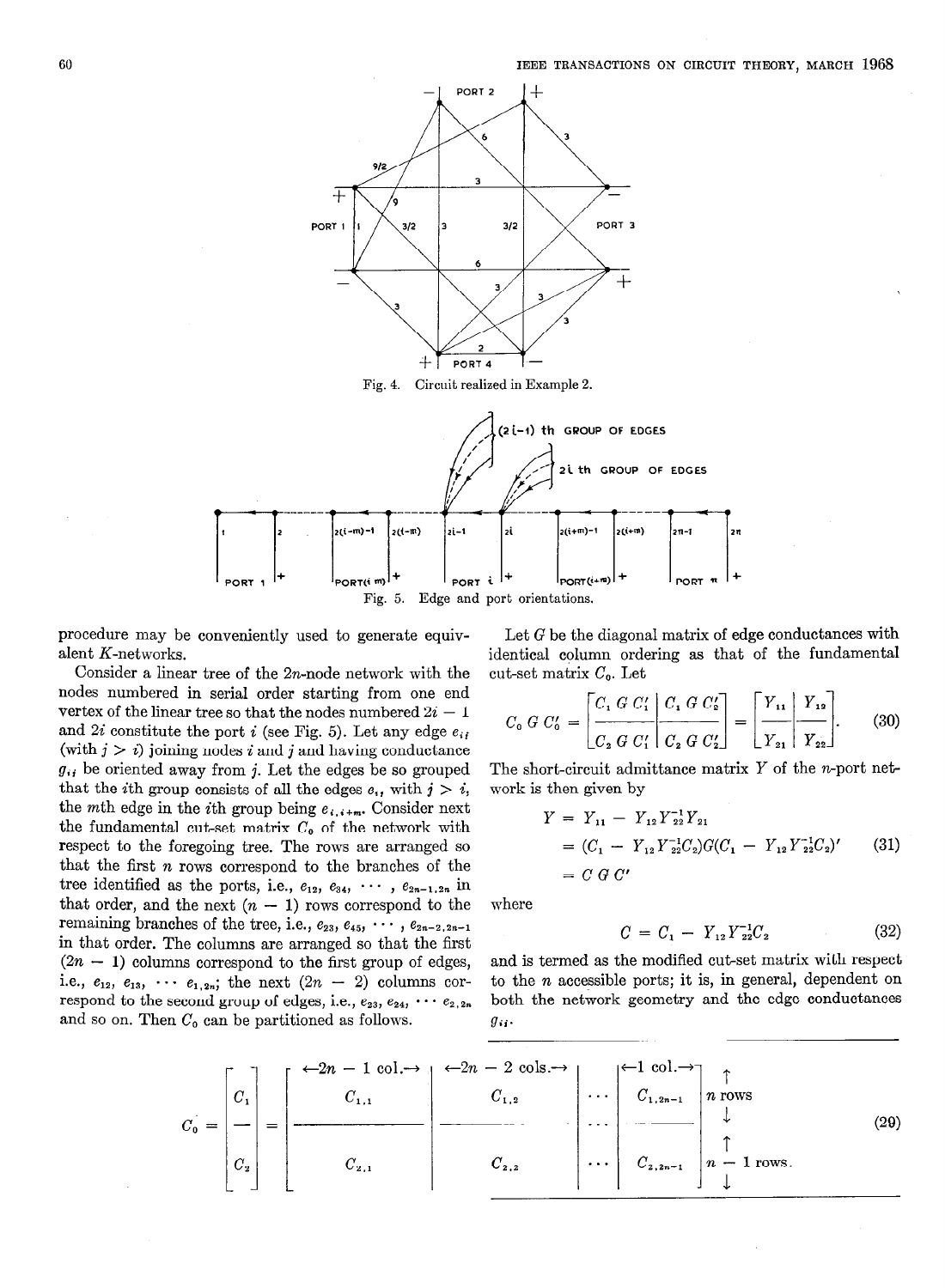

Fig. 4. Circuit realized in Example 2.



procedure may be conveniently used to generate equivalent K-networks.

Consider a linear tree of the  $2n$ -node network with the nodes numbered in serial order starting from one end vertex of the linear tree so that the nodes numbered  $2i - 1$ and 2i constitute the port i (see Fig. 5). Let any edge  $e_{ij}$ (with  $j > i$ ) joining nodes i and j and having conductance  $g_{ij}$  be oriented away from j. Let the edges be so grouped that the *i*th group consists of all the edges  $e_{ij}$  with  $j > i$ , the mth edge in the *i*th group being  $e_{i,i+m}$ . Consider next the fundamental cut-set matrix  $C_0$  of the network with respect to the foregoing tree. The rows are arranged so that the first  $n$  rows correspond to the branches of the tree identified as the ports, i.e.,  $e_{12}$ ,  $e_{34}$ ,  $\cdots$ ,  $e_{2n-1,2n}$  in that order, and the next  $(n - 1)$  rows correspond to the remaining branches of the tree, i.e.,  $e_{23}$ ,  $e_{45}$ ,  $\cdots$ ,  $e_{2n-2,2n-1}$ in that order. The columns are arranged so that the first  $(2n - 1)$  columns correspond to the first group of edges, i.e.,  $e_{12}$ ,  $e_{13}$ ,  $\cdots$   $e_{1,2n}$ ; the next  $(2n - 2)$  columns correspond to the second group of edges, i.e.,  $e_{23}$ ,  $e_{24}$ ,  $\cdots$   $e_{2,2n}$ and so on. Then  $C_0$  can be partitioned as follows.

Let G be the diagonal matrix of edge conductances with identical column ordering as that of the fundamental cut-set matrix  $C_0$ . Let

$$
C_0 \ G \ C'_0 = \left[ \frac{C_1 \ G \ C'_1}{C_2 \ G \ C'_1} \middle| \frac{C_1 \ G \ C'_2}{C_2 \ G \ C'_2} \right] = \left[ \frac{Y_{11}}{Y_{21}} \middle| \frac{Y_{12}}{Y_{22}} \right]. \tag{30}
$$

The short-circuit admittance matrix  $Y$  of the *n*-port network is then given by

$$
Y = Y_{11} - Y_{12} Y_{22}^{-1} Y_{21}
$$
  
=  $(C_1 - Y_{12} Y_{22}^{-1} C_2) G (C_1 - Y_{12} Y_{22}^{-1} C_2)'$  (31)  
=  $C G C'$ 

where

$$
C = C_1 - Y_{12} Y_{22}^{-1} C_2 \tag{32}
$$

and is termed as the modified cut-set matrix with respect to the  $n$  accessible ports; it is, in general, dependent on both the network geometry and the edge conductances  $g_{ii}$ .

$$
C_0 = \begin{bmatrix} C_1 \\ C_2 \end{bmatrix} = \begin{bmatrix} \leftarrow 2n - 1 \text{ col.} \rightarrow \\ C_{1,1} \end{bmatrix} \begin{bmatrix} \leftarrow 2n - 2 \text{ col.s.} \rightarrow \\ C_{1,2} \end{bmatrix} \cdots \begin{bmatrix} \leftarrow 1 \text{ col.} \rightarrow \\ C_{1,2n-1} \end{bmatrix} n \text{ rows} \cdots \begin{bmatrix} 1 \text{ rows} \\ \vdots \\ 1 \text{ rows} \end{bmatrix}
$$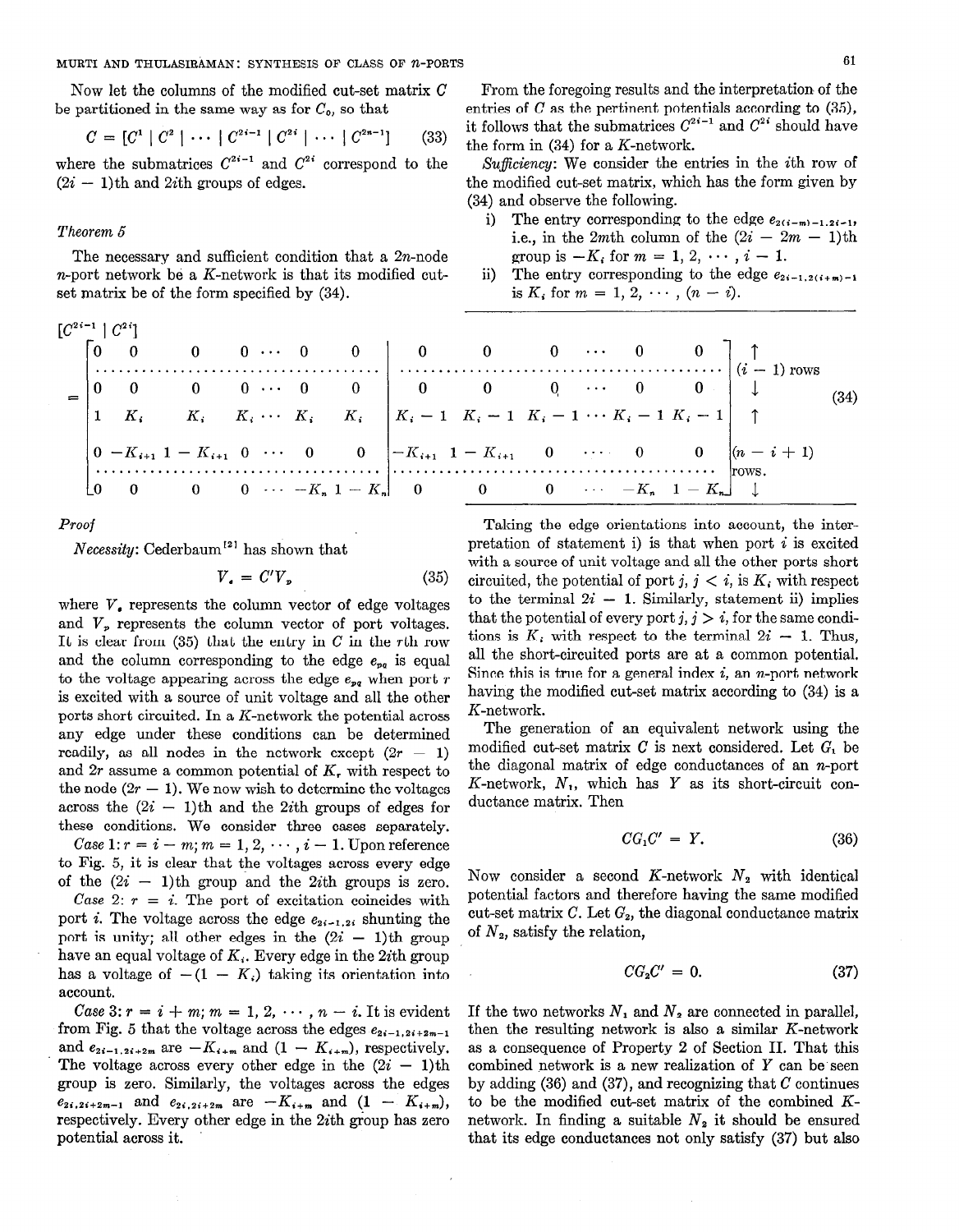MURTI AND THULASIRAMAN: SYNTHESIS OF CLASS OF n-PORTS 61

Now let the columns of the modified cut-set matrix C be partitioned in the same way as for  $C_0$ , so that

$$
C = [C1 | C2 | \cdots | C2i-1 | C2i | \cdots | C2n-1]
$$
 (33)

where the submatrices  $C^{2i-1}$  and  $C^{2i}$  correspond to the  $(2i - 1)$ th and 2*i*th groups of edges.

# Theorem 5

The necessary and sufficient condition that a 2n-node n-port network be a  $K$ -network is that its modified cutset matrix be of the form specified by (34).

|                     | $\ddot{\phantom{0}}$ 0 |  |  |  | 0 0 $\cdots$ $-K_n$ 1 $-K_n$ 0 0 0 $\cdots$ $-K_n$ 1 $-K_n$ $\downarrow$                                                                                                                                                                                                                                                                             |  |  |                                                                                                                                                             |  |
|---------------------|------------------------|--|--|--|------------------------------------------------------------------------------------------------------------------------------------------------------------------------------------------------------------------------------------------------------------------------------------------------------------------------------------------------------|--|--|-------------------------------------------------------------------------------------------------------------------------------------------------------------|--|
|                     |                        |  |  |  |                                                                                                                                                                                                                                                                                                                                                      |  |  | $\begin{vmatrix} 0 & -K_{i+1} & 1-K_{i+1} & 0 & \cdots & 0 \end{vmatrix}$ $\begin{vmatrix} -K_{i+1} & 1-K_{i+1} & 0 & \cdots & 0 \end{vmatrix}$ (n - i + 1) |  |
|                     |                        |  |  |  |                                                                                                                                                                                                                                                                                                                                                      |  |  |                                                                                                                                                             |  |
|                     |                        |  |  |  | $\begin{vmatrix} 0 & 0 & 0 & 0 & \cdots & 0 \\ 1 & K_i & K_i & K_i & \cdots & K_i & K_i \end{vmatrix} \begin{vmatrix} 0 & 0 & 0 & \cdots & 0 & 0 \\ K_i - 1 & K_i - 1 & K_i - 1 & \cdots & K_i - 1 & K_i - 1 \end{vmatrix} \begin{vmatrix} 1 & 0 & 0 & \cdots & 0 & 0 \\ 0 & 0 & 0 & \cdots & 0 & 0 \\ 0 & 0 & 0 & 0 & \cdots & 0 & 0 \end{vmatrix}$ |  |  |                                                                                                                                                             |  |
|                     |                        |  |  |  |                                                                                                                                                                                                                                                                                                                                                      |  |  |                                                                                                                                                             |  |
| $C^{2i-1}$ $C^{2i}$ |                        |  |  |  |                                                                                                                                                                                                                                                                                                                                                      |  |  |                                                                                                                                                             |  |

Proof

 $Necessity: Cederbaum<sup>{12}</sup> has shown that$ 

$$
V_{\bullet} = C'V_{\nu} \tag{35}
$$

where  $V_{\bullet}$  represents the column vector of edge voltages and  $V_p$  represents the column vector of port voltages. It is clear from  $(35)$  that the entry in C in the rth row and the column corresponding to the edge  $e_{pq}$  is equal to the voltage appearing across the edge  $e_{pq}$  when port r is excited with a source of unit voltage and all the other ports short circuited. In a K-network the potential across any edge under these conditions can be determined readily, as all nodes in the network except  $(2r - 1)$ and  $2r$  assume a common potential of  $K_r$ , with respect to the node  $(2r - 1)$ . We now wish to determine the voltages across the  $(2i - 1)$ th and the 2*i*th groups of edges for these conditions. We consider three cases separately. Case 1:  $r=i-m; m=1,2,\cdots,i-1$ . Upon reference to Fig. 5, it is clear that the voltages across every edge of the  $(2i - 1)$ th group and the 2*i*th groups is zero. Case 2:  $r = i$ . The port of excitation coincides with port *i*. The voltage across the edge  $e_{2i-1,2i}$  shunting the port is unity; all other edges in the  $(2i - 1)$ th group have an equal voltage of  $K_i$ . Every edge in the 2*i*th group has a voltage of  $-(1 - K_i)$  taking its orientation into

account. Case 3:  $r = i + m$ ;  $m = 1, 2, \cdots, n - i$ . It is evident from Fig. 5 that the voltage across the edges  $e_{2i-1,2i+2m-1}$ and  $e_{2i-1,2i+2m}$  are  $-K_{i+m}$  and  $(1 - K_{i+m})$ , respectively. The voltage across every other edge in the  $(2i - 1)$ th group is zero. Similarly, the voltages across the edges  $e_{2i,2i+2m-1}$  and  $e_{2i,2i+2m}$  are  $-K_{i+m}$  and  $(1 - K_{i+m}),$ respectively. Every other edge in the 2ith group has zero potential across it.

From the foregoing results and the interpretation of the entries of  $C$  as the pertinent potentials according to  $(35)$ , it follows that the submatrices  $C^{2i-1}$  and  $C^{2i}$  should have the form in (34) for a K-network.

Sufficiency: We consider the entries in the *i*th row of the modified cut-set matrix, which has the form given by (34) and observe the following.

- i) The entry corresponding to the edge  $e_{2(i-m)-1,2i-1}$ , i.e., in the 2mth column of the  $(2i - 2m - 1)$ th group is  $-K_i$  for  $m = 1, 2, \cdots, i - 1$ .
- ii) The entry corresponding to the edge  $e_{2i-1,2(i+m)-1}$ is  $K_i$  for  $m = 1, 2, \cdots, (n - i)$ .

Taking the edge orientations into account, the interpretation of statement i) is that when port  $i$  is excited with a source of unit voltage and all the other ports short circuited, the potential of port j,  $j < i$ , is  $K_i$ , with respect to the terminal  $2i - 1$ . Similarly, statement ii) implies that the potential of every port  $j, j > i$ , for the same conditions is  $K_i$ , with respect to the terminal  $2i - 1$ . Thus, all the short-circuited ports are at a common potential. Since this is true for a general index  $i$ , an *n*-port network having the modified cut-set matrix according to (34) is a K-network.

The generation of an equivalent network using the modified cut-set matrix C is next considered. Let  $G_i$  be the diagonal matrix of edge conductances of an n-port K-network,  $N_1$ , which has Y as its short-circuit conductance matrix. Then

$$
CG1C' = Y.
$$
 (36)

Now consider a second K-network  $N_2$  with identical potential factors and therefore having the same modified cut-set matrix  $C$ . Let  $G_2$ , the diagonal conductance matrix of  $N<sub>2</sub>$ , satisfy the relation,

$$
CG_2C' = 0. \tag{37}
$$

If the two networks  $N_1$  and  $N_2$  are connected in parallel, then the resulting network is also a similar K-network as a consequence of Property 2 of Section II. That this combined network is a new realization of  $Y$  can be seen by adding  $(36)$  and  $(37)$ , and recognizing that C continues to be the modified cut-set matrix of the combined Knetwork. In finding a suitable  $N_2$  it should be ensured that its edge conductances not only satisfy (37) but also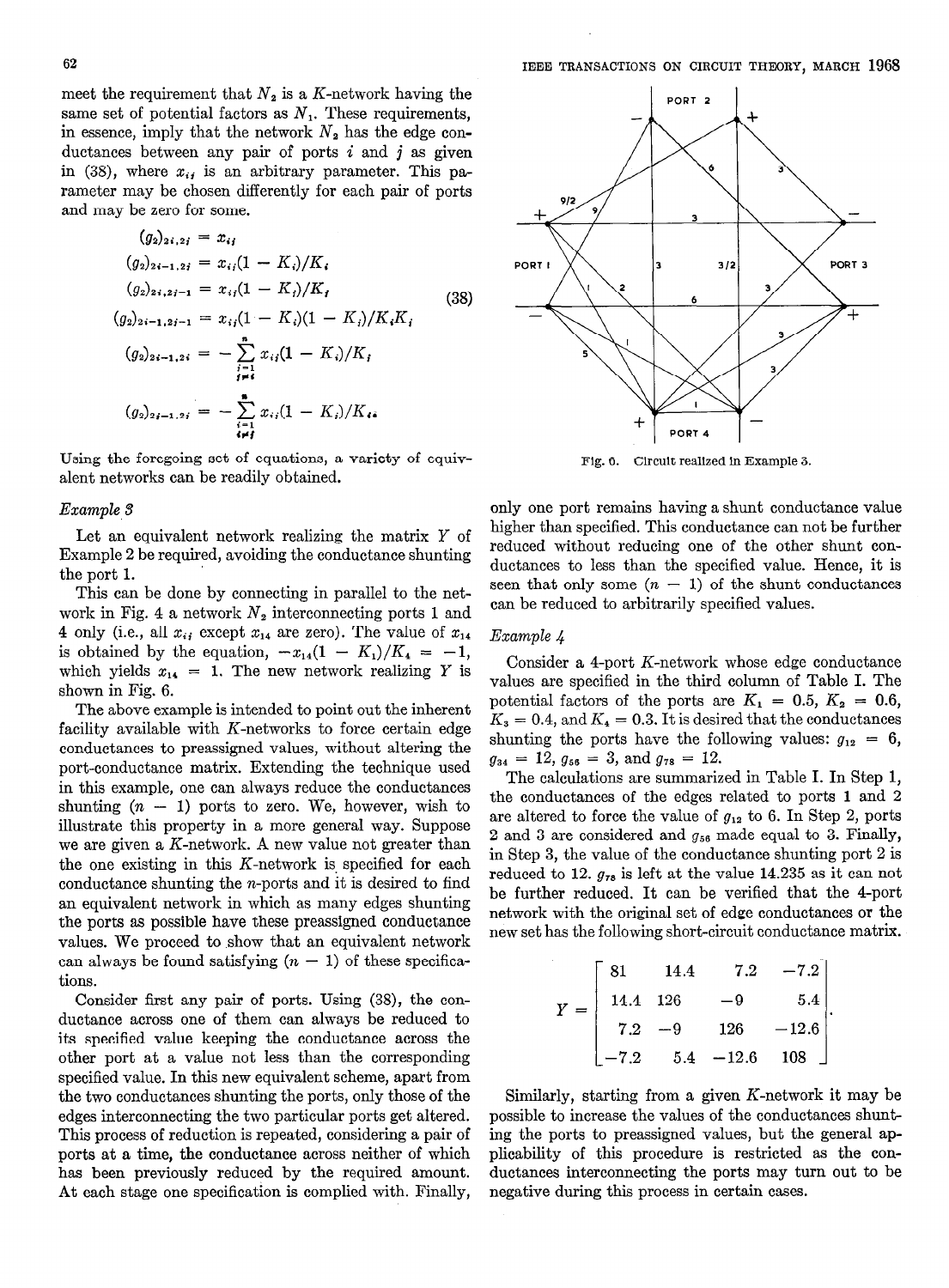meet the requirement that  $N_2$  is a K-network having the same set of potential factors as  $N_1$ . These requirements, in essence, imply that the network  $N_2$  has the edge conductances between any pair of ports  $i$  and  $j$  as given in (38), where  $x_{ij}$  is an arbitrary parameter. This parameter may be chosen differently for each pair of ports and may be zero for some.

$$
(g_2)_{2i,2i} = x_{ij}
$$
  
\n
$$
(g_2)_{2i-1,2i} = x_{ij}(1 - K_i)/K_i
$$
  
\n
$$
(g_2)_{2i,2i-1} = x_{ij}(1 - K_i)/K_i
$$
  
\n
$$
(g_2)_{2i-1,2i-1} = x_{ij}(1 - K_i)(1 - K_i)/K_iK_i
$$
  
\n
$$
(g_2)_{2i-1,2i} = -\sum_{\substack{i=1 \ i \neq i}}^{n} x_{ij}(1 - K_i)/K_i
$$
  
\n
$$
(g_2)_{2i-1,2i} = -\sum_{\substack{i=1 \ i \neq i}}^{n} x_{ij}(1 - K_i)/K_i
$$

Using the foregoing set of equations, a variety of equivalent networks can be readily obtained.

#### Example 3

 $\overline{ }$ .

Let an equivalent network realizing the matrix Y of Example 2 be required, avoiding the conductance shunting the port 1.

This can be done by connecting in parallel to the network in Fig. 4 a network  $N_2$  interconnecting ports 1 and 4 only (i.e., all  $x_{ij}$  except  $x_{14}$  are zero). The value of  $x_{14}$ is obtained by the equation,  $-x_{14}(1 - K_1)/K_4 = -1$ , which yields  $x_{14} = 1$ . The new network realizing Y is shown in Fig. 6.

The above example is intended to point out the inherent facility available with  $K$ -networks to force certain edge conductances to preassigned values, without altering the port-conductance matrix. Extending the technique used in this example, one can always reduce the conductances shunting  $(n - 1)$  ports to zero. We, however, wish to illustrate this property in a more general way. Suppose we are given a K-network. A new value not greater than the one existing in this  $K$ -network is specified for each conductance shunting the n-ports and it is desired to find an equivalent network in which as many edges shunting the ports as possible have these preassigned conductance values. We proceed to show that an equivalent network can always be found satisfying  $(n - 1)$  of these specifications.

Consider first any pair of ports. Using (38), the conductance across one of them can always be reduced to its specified value keeping the conductance across the other port at a value not less than the corresponding specified value. In this new equivalent scheme, apart from the two conductances shunting the ports, only those of the edges interconnecting the two particular ports get altered. This process of reduction is repeated, considering a pair of ports at a time, the conductance across neither of which has been previously reduced by the required amount. At each stage one specification is complied with. Finally,



Fig. 6. Circuit realized in Example 3.

only one port remains having a shunt conductance value higher than specified. This conductance can not be further reduced without reducing one of the other shunt conductances to less than the specified value. Hence, it is seen that only some  $(n - 1)$  of the shunt conductances can be reduced to arbitrarily specified values.

# Example 4

Consider a 4-port K-network whose edge conductance values are specified in the third column of Table I. The potential factors of the ports are  $K_1 = 0.5, K_2 = 0.6$ ,  $K_3 = 0.4$ , and  $K_4 = 0.3$ . It is desired that the conductances shunting the ports have the following values:  $g_{12} = 6$ ,  $g_{34} = 12, g_{56} = 3, \text{ and } g_{78} = 12.$ 

The calculations are summarized in Table I. In Step 1, the conductances of the edges related to ports 1 and 2 are altered to force the value of  $g_{12}$  to 6. In Step 2, ports 2 and 3 are considered and  $g_{56}$  made equal to 3. Finally, in Step 3, the value of the conductance shunting port 2 is reduced to 12.  $g_{78}$  is left at the value 14.235 as it can not be further reduced. It can be verified that the 4-port network with the original set of edge conductances or the new set has the following short-circuit conductance matrix.

$$
Y = \begin{bmatrix} 81 & 14.4 & 7.2 & -7.2 \\ 14.4 & 126 & -9 & 5.4 \\ 7.2 & -9 & 126 & -12.6 \\ -7.2 & 5.4 & -12.6 & 108 \end{bmatrix}.
$$

Similarly, starting from a given K-network it may be possible to increase the values of the conductances shunting the ports to preassigned values, but the general applicability of this procedure is restricted as the conductances interconnecting the ports may turn out to be negative during this process in certain cases.